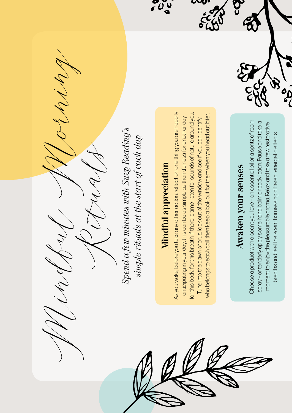Choose a product with a scent you love - an essential oil or a spritz of room Choose a product with a scent you love – an essential oil or a spritz of room spray - or tenderly apply some hand balm or body lotion. Pause and take a spray – or tenderly apply some hand balm or body lotion. Pause and take a moment to enjoy the pleasurable aroma. Relax and take a few restorative moment to enjoy the pleasurable aroma. Relax and take a few restorative breaths and feel the scent harnessing different energetic effects. breaths and feel the scent harnessing different energetic effects.

op

## Awaken your senses **Awaken your senses**

Mindful Morning Rituals

*Spend a few minutes with Suzy Reading's*  Spend a few minutes with Suzy Reading's simple rituals at the start of each day *simple rituals at the start of each day*

**Mindful appreciation**

Mindful appreciation

 $\frac{1}{2}$ 

As you wake, before you take any other action, reflect on one thing you are happily anticipating in your day; this can be as simple as thankfulness for another day, for this body, for this breath. If there is time, listen for sounds of nature around you. Tune into the dawn chorus, look out of the window and see if you can identify who belongs to each call, then keep a look out for them when you head out later.

for this body, for this breath. If there is time, listen for sounds of nature around you.

anticipating in your day; this can be as simple as thankfulness for another day,

who belongs to each call, then keep a look out for them when you head out later.

Tune into the dawn chorus, look out of the window and see if you can identify

As you wake, before you take any other action, reflect on one thing you are happily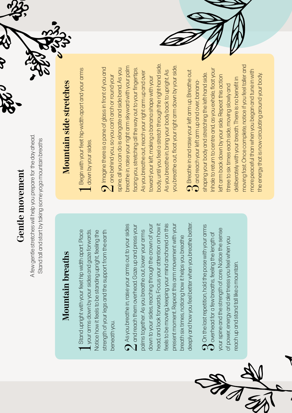### **Gentle movement Gentle movement**

A few gentle stretches will help you prepare for the day ahead. A few gentle stretches will help you prepare for the day ahead. Stand tall and start by taking some yoga mountain breaths Stand tall and start by taking some yoga mountain breaths



#### **Mountain breaths Mountain breaths**

Stand upright with your feet hip width apart. Place 1 Stand upright with your feet hip width apart. Place<br>1 your arms down by your sides and gaze forwards. strength of your legs and the support from the earth your arms down by your sides and gaze forwards. Notice how it feels to be standing upright, feeling the Notice how it feels to be standing upright, feeling the strength of your legs and the support from the earth beneath you. beneath you.

deeply and how you feel better when you breathe better. nead, and look forwards. Focus your attention on how it eels to be moving, keeping your mind anchored on this deeply and how you feel better when you breathe better. As you breathe in, raise your arms out to your sides down to your sides, reaching through the crown of your head, and look forwards. Focus your attention on how it feels to be moving, keeping your mind anchored on this present moment. Repeat this arm movement with your present moment. Repeat this arm movement with your  $\bigcirc$  As you breathe in, raise your arms out to your sides and reach them overhead. Gaze up and press your 4 and reach them overhead. Gaze up and press your down to your sides, reaching through the crown of your palms together. As you breathe out, lower your arms palms together. As you breathe out, lower your arms preath six times, noticing how it helps you breathe breath six times, noticing how it helps you breathe

 $\Omega$  On the last repetition, hold the pose with your arms  $U$  overhead for a few breaths, feeling the length of  $\mathfrak O$  On the last repetition, hold the pose with your arms<br> $\mathfrak O$  overhead for a few breaths, feeling the length of your spine and the strength of core. Notice the sense your spine and the strength of core. Notice the sense of power, energy and alertness you feel when you of power, energy and alertness you feel when you each up and stand tall like a mountain. reach up and stand tall like a mountain.

# **Mountain side stretches Mountain side stretches**

1 Begin with your feet hip-width apart and your arms<br>1 down by your sides. 1 Begin with your feet hip-width apart and your arms<br>1 down by your sides.

body, until you feel a stretch through the right-hand side. body, until you feel a stretch through the right-hand side. breathe in, raise your right arm skyward with your palm breathe in, raise your right arm skyward with your palm you breathe out, float your right arm down by your side. you breathe out, float your right arm down by your side.  $\bigcap$  Imagine there is a pane of glass in front of you and  $\bigcap$  lmagine there is a pane of glass in front of you and  $\bigcup$  one behind you, so you can't arch or round your facing you, stretching all the way out to your fingertips. spine, all you can do is elongate and side bend. As you spine, all you can do is elongate and side bend. As you facing you, stretching all the way out to your fingertips. As you breathe in, bring your body back to upright. As As you breathe in, bring your body back to upright. As As you breathe out, reach your right arm up and over As you breathe out, reach your right arm up and over  $\Delta$  one behind you, so you can't arch or round your toward your left, making a banana shape with your toward your left, making a banana shape with your

moving fast. Once complete, notice if you feel taller and moving fast. Once complete, notice if you feel taller and Inhale to return to centre and, as you exhale, float your nhale to return to centre and, as you exhale, float your more peaceful than when you began and tune in with  $\Omega$  Breathe in and raise your left arm up. Breathe out  $\Omega$  and reach your left arm up and over, banana- $\mathcal G$  Breathe in and raise your left arm up. Breathe out  $d$  and reach your left arm up and over, bananamore peaceful than when you began and tune in with shaping your body and stretching the left-hand side. shaping your body and stretching the left-hand side. the energy that is now circulating around your body. eft arm back down by your side. Repeat this action the energy that is now circulating around your body.left arm back down by your side. Repeat this action deliberately with your breath. There is no benefit in deliberately with your breath. There is no benefit in three to six times each side, moving slowly and three to six times each side, moving slowly and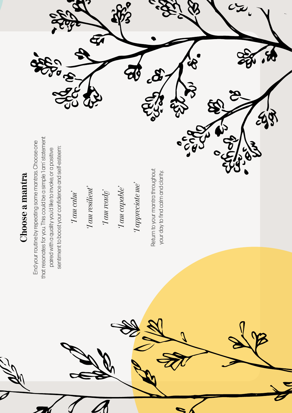

that resonates for you. This could be a simple 1 am' statement that resonates for you. This could be a simple 'I am' statement End your routine by repeating some mantras. Choose one End your routine by repeating some mantras. Choose one sentiment to boost your confidence and self-esteem: sentiment to boost your confidence and self-esteem: paired with a quality you'd like to invoke, or a positive paired with a quality you'd like to invoke, or a positive

*'I am calm'*  Tam calm'

Ford

your day to find calm and clarity. your day to find calm and clarity.



 $\frac{d}{dt}$ 

 $\frac{1}{2}$ 

 $293$ 

**ES** 

 $\bullet$ 

Ęí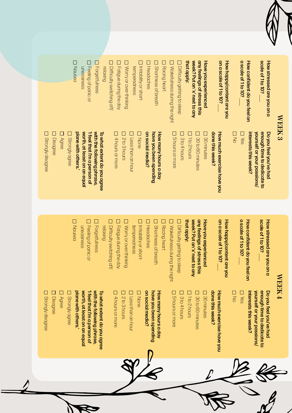

| $\mathbf{WERK3}$                               |                                                           |
|------------------------------------------------|-----------------------------------------------------------|
| scale of 1 to 10?<br>How stressed are you on a | enough time to dedicate to<br>Do you feel you've had      |
| How confident do you feel on                   | interests this week?<br><b>Nourself or your passions/</b> |
| a scale of 1 to 10?                            | <b>D</b><br>Nes                                           |
|                                                | D<br>No                                                   |
| How happy/content are you                      |                                                           |
| on a scale of 1 to 10?                         | How much exercise have yo                                 |
|                                                | done this week?                                           |
| Have you experienced                           | <b>D</b> 30 minutes                                       |
| any feelings of stress this                    | П<br>30 to 60 minutes                                     |
| that apply:<br>Neek? Put an 'x' next to any    | П<br>1to 2 hours                                          |
| $\square$ Difficulty getting to sleep          | 3 to 4 hours                                              |
| Wakefulness during the night                   | D 5 hours or more                                         |
| Racing heart                                   |                                                           |
| Shortness of breath                            | have you been spending<br>How many hours a day            |
| Headaches                                      | on social media?                                          |
| <b>D</b> Irritability or short-                | <b>T</b> None                                             |

**U Less than an hour** How much exercise have you Less than an hour been spending Whours a day h exercise have you

Disagree D Agree **D** Strongly agree plane with others.' with the following phrase, plane with others.' worth, at least on an equal worth, at least on an equal 'l feel that I'm a person of 'I feel that I'm a person of with the following phrase, To what extent do you agree To what extent do you agree Strongly agree

Desno<sub>N</sub>

uneasiness Feeling of panic or Forgetfulness relaxing

uneashess

 $\Box$  $\Box$ 

*<u>Feeling</u>* of panic or Forgetfulness

Difficulty switching off/ Fatigue during the day Worry or over-thinking

Difficulty switching off

D Fatigue during the day

 $\Box$ 

4 hours or more 2 to 3 hours

L 4 hours or more D 2to 3 hours temperedness

temperedness

 $\Box$ 

Worry or over-thinking

**D** Feeling of panic or D Fatigue during the day D<br>Nansea **D** Forgettulness **Difficulty switching off,** D Worry or over-thinking **D** Irritability or short-**D** Headaches **D** Shortness of breath **D** Racing heart U Wakefulness during the night **Difficulty getting to sleep** week? Put an 'x' next to any any feelings of stress this Have you experienced on a scale of 1 to 10? a scale of 1 to 10? scale of 1 to 10? How stressed are you on a that apply: that apply: week? Put an 'x' next to any any feelings of stress this Have you experienced on a scale of 1 to 10? How happy/content are you How happy/content are you a scale of 1 to 10? How confident do you feel on How confident do you feel on scale of 1 to 10? How stressed are you on a relaxing uneasiness Headaches Difficulty getting to sleep temperedness uneasiness Feeling of panic or Forgetfulness Difficulty switching off/ Fatigue during the day Worry or over-thinking temperedness Irritability or short- Shortness of breath Racing heart Wakefulness during the night  $\overline{\phantom{a}}$  $\overline{\phantom{a}}$  $\overline{\phantom{a}}$ **MEEK WEEK 4**

ND **D** D<sub>2</sub> to 3 hours U Less than an hour on social media? D<sub>5</sub> hours or more U 3 to 4 hours □ 30 to 60 minutes D 30 minutes done this week? enough time to dedicate to Do you feel you've had D4 hours or more None have you been spending How many hours a day D 1to 2 hours How much exercise have you interests this week? yourself or your passions/ on social media? have you been spending How many hours a day done this week? How much exercise have you interests this week? yourself or your passions/ enough time to dedicate to Do you feel you've had 5 hours or more 1 to 2 hours 30 minutes 4 hours or more 2 to 3 hours Less than an hour 3 to 4 hours 30 to 60 minutes

plane with others. worth, at least on an equa 'I feel that I'm a person of with the following phrase, plane with others.' worth, at least on an equal 'I feel that I'm a person of with the following phrase, To what extent do you agree To what extent do you agree

**D** Strongly agree Strongly agree

D Agree

Disagree

**D** Strongly disagree Strongly disagree

Strongly disagree

**D** Strongly disagree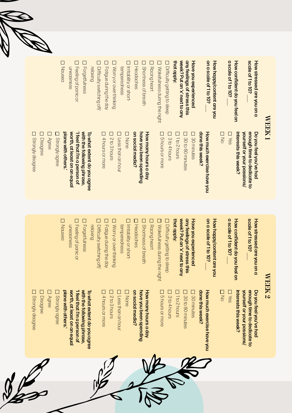

| <b>WEEK1</b>                                   |                                                                                    |
|------------------------------------------------|------------------------------------------------------------------------------------|
| How stressed are you on a<br>scale of 1 to 10? | yourself or your passions/<br>enough time to dedicate to<br>Do you feel you've had |
| How confident do you feel on                   | interests this week?                                                               |
| a scale of 1 to 10?                            | □<br>अ∂                                                                            |
|                                                | ロヌ                                                                                 |
| How happy/content are you                      |                                                                                    |
| on a scale of 1 to 10?                         | done this week?<br>How much exercise have you                                      |
| Have you experienced                           | 130 minutes                                                                        |
| any feelings of stress this                    | 30 to 60 minutes                                                                   |
| week? Put an'x' next to any                    | 1to 2 hours                                                                        |
| that apply:<br>I Difficulty getting to sleep   | 3 to 4 hours                                                                       |
| Wakefulness during the night                   | 5 hours or more                                                                    |
| L<br>Racing heart                              |                                                                                    |
| Ξ<br>Shortness of breath                       | have you been spending<br>How many hours a day                                     |
| Ξ<br>Headaches                                 | on social media?                                                                   |
| Irritability or short-                         | <b>None</b>                                                                        |
| temperedness                                   | Less than an hour                                                                  |
| $\Box$<br>Worry or over-thinking               | 2 to 3 hours                                                                       |
| Fatigue during the day                         | 4 hours or more                                                                    |
| $\Box$<br>relaxing<br>Difficulty switching off |                                                                                    |
| $\Box$<br>Forgetfulness                        | with the following phrase,<br>To what extent do you agree                          |
| Feeling of panic or                            | 'l feel that l'm a person of                                                       |
| uneasiness                                     | worth, at least on an equal<br>plane with others.                                  |
| $\Box$<br>Nausea                               | Strongly agree                                                                     |
|                                                | <b>Agree</b>                                                                       |
|                                                | Disagree                                                                           |
|                                                | $\Box$<br>Strongly disagree                                                        |

D<br>
Nansea **D** Feeling of panic or **D** Forgetfulness **Difficulty switching off** D Fatigue during the day U Worry or over-thinking **D** Irritability or short-**U** Headaches **D** Shortness of breath **D** Racing heart any feelings of stress this Have you experienced on a scale of 1 to 10? How happy/content are you a scale of 1to 10? How confident do you feel on scale of 1 to 10? How stressed are you on a **D** Wakefulness during the night □ Difficulty getting to sleep that apply: that apply: week? Put an 'x' next to any week? Put an 'x' next to any any feelings of stress this Have you experienced on a scale of 1 to 10? How happy/content are you a scale of 1 to 10? How confident do you feel on scale of 1 to 10? How stressed are you on a sseuspeun relaxing Headaches Difficulty getting to sleep temperedness uneasiness Feeling of panic or Forgetfulness Difficulty switching off/ Fatigue during the day Worry or over-thinking temperedness Irritability or short- Shortness of breath Racing heart Wakefulness during the night  $\overline{\phantom{a}}$  $\overline{\phantom{a}}$  $\overline{\phantom{a}}$ 

worth, at least on an equa with the following phrase, D 4 hours or more U Less than an hour D bhours or more D 30 to 60 minutes plane with others. 'I feel that I'm a person of To what extent do you agree on social media? have you been spending How many hours a day plane with others.' worth, at least on an equal 'I feel that I'm a person of with the following phrase, To what extent do you agree on social media? have you been spending How many hours a day How much exercise have you How much exercise have you 5 hours or more 4 hours or more Less than an hour 30 to 60 minutes

None

2 to 3 hours

D<sub>2</sub>to3hours

#### WEEK 2 **WEEK 2**

interests this week? enough time to dedicate to Do you feel you've had yourself or your passions/ interests this week? yourself or your passions/ enough time to dedicate to Do you feel you've had

 No **D** Yes

done this week?

done this week?

30 minutes

**D** 30 minutes

3 to 4 hours 1 to 2 hours

D<sub>3to4hous</sub>

D 1to 2 hours

**D** Strongly agree Strongly agree

D Agree

Disagree

**D** Strongly disagree Strongly disagree